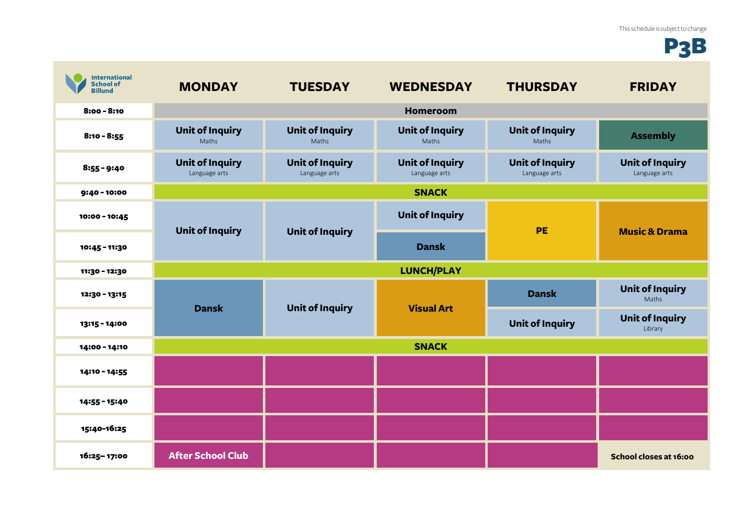## P3B

| <b>International</b><br><b>School of</b><br><b>Billund</b> | <b>MONDAY</b>                           | <b>TUESDAY</b>                          | <b>WEDNESDAY</b>                        | <b>THURSDAY</b>                         | <b>FRIDAY</b>                           |
|------------------------------------------------------------|-----------------------------------------|-----------------------------------------|-----------------------------------------|-----------------------------------------|-----------------------------------------|
| $8:00 - 8:10$                                              |                                         |                                         | <b>Homeroom</b>                         |                                         |                                         |
| $8:10 - 8:55$                                              | <b>Unit of Inquiry</b><br>Maths         | <b>Unit of Inquiry</b><br>Maths         | <b>Unit of Inquiry</b><br>Maths         | <b>Unit of Inquiry</b><br>Maths         | <b>Assembly</b>                         |
| $8:55 - 9:40$                                              | <b>Unit of Inquiry</b><br>Language arts | <b>Unit of Inquiry</b><br>Language arts | <b>Unit of Inquiry</b><br>Language arts | <b>Unit of Inquiry</b><br>Language arts | <b>Unit of Inquiry</b><br>Language arts |
| $9:40 - 10:00$                                             | <b>SNACK</b>                            |                                         |                                         |                                         |                                         |
| 10:00 - 10:45                                              | <b>Unit of Inquiry</b>                  | <b>Unit of Inquiry</b>                  | <b>Unit of Inquiry</b>                  | <b>PE</b>                               | <b>Music &amp; Drama</b>                |
| 10:45 - 11:30                                              |                                         |                                         | <b>Dansk</b>                            |                                         |                                         |
| 11:30 - 12:30                                              | <b>LUNCH/PLAY</b>                       |                                         |                                         |                                         |                                         |
| 12:30 - 13:15                                              | <b>Dansk</b>                            | <b>Unit of Inquiry</b>                  | <b>Visual Art</b>                       | <b>Dansk</b>                            | <b>Unit of Inquiry</b><br>Maths         |
| 13:15 - 14:00                                              |                                         |                                         |                                         | <b>Unit of Inquiry</b>                  | <b>Unit of Inquiry</b><br>Library       |
| 14:00 - 14:10                                              | <b>SNACK</b>                            |                                         |                                         |                                         |                                         |
| 14:10 - 14:55                                              |                                         |                                         |                                         |                                         |                                         |
| 14:55 - 15:40                                              |                                         |                                         |                                         |                                         |                                         |
| 15:40-16:25                                                |                                         |                                         |                                         |                                         |                                         |
| 16:25-17:00                                                | <b>After School Club</b>                |                                         |                                         |                                         | School closes at 16:00                  |